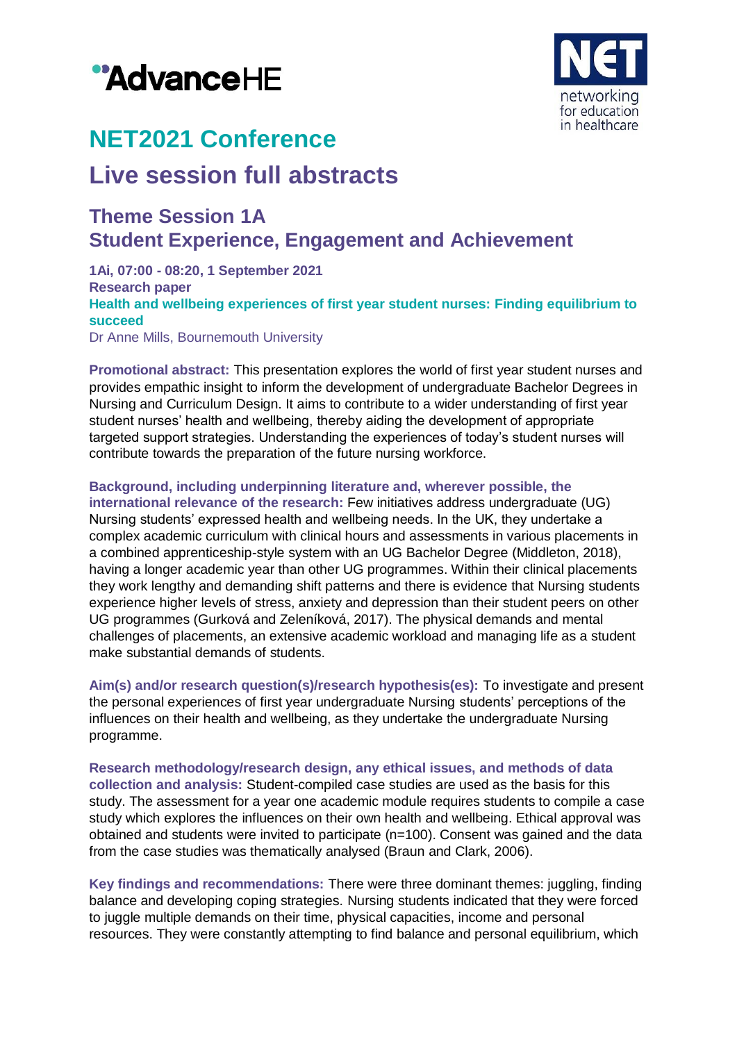



# **NET2021 Conference**

## **Live session full abstracts**

### **Theme Session 1A Student Experience, Engagement and Achievement**

**1Ai, 07:00 - 08:20, 1 September 2021 Research paper Health and wellbeing experiences of first year student nurses: Finding equilibrium to succeed** Dr Anne Mills, Bournemouth University

**Promotional abstract:** This presentation explores the world of first year student nurses and provides empathic insight to inform the development of undergraduate Bachelor Degrees in Nursing and Curriculum Design. It aims to contribute to a wider understanding of first year student nurses' health and wellbeing, thereby aiding the development of appropriate targeted support strategies. Understanding the experiences of today's student nurses will contribute towards the preparation of the future nursing workforce.

**Background, including underpinning literature and, wherever possible, the international relevance of the research:** Few initiatives address undergraduate (UG) Nursing students' expressed health and wellbeing needs. In the UK, they undertake a complex academic curriculum with clinical hours and assessments in various placements in a combined apprenticeship-style system with an UG Bachelor Degree (Middleton, 2018), having a longer academic year than other UG programmes. Within their clinical placements they work lengthy and demanding shift patterns and there is evidence that Nursing students experience higher levels of stress, anxiety and depression than their student peers on other UG programmes (Gurková and Zeleníková, 2017). The physical demands and mental challenges of placements, an extensive academic workload and managing life as a student make substantial demands of students.

**Aim(s) and/or research question(s)/research hypothesis(es):** To investigate and present the personal experiences of first year undergraduate Nursing students' perceptions of the influences on their health and wellbeing, as they undertake the undergraduate Nursing programme.

**Research methodology/research design, any ethical issues, and methods of data collection and analysis:** Student-compiled case studies are used as the basis for this study. The assessment for a year one academic module requires students to compile a case study which explores the influences on their own health and wellbeing. Ethical approval was obtained and students were invited to participate (n=100). Consent was gained and the data from the case studies was thematically analysed (Braun and Clark, 2006).

**Key findings and recommendations:** There were three dominant themes: juggling, finding balance and developing coping strategies. Nursing students indicated that they were forced to juggle multiple demands on their time, physical capacities, income and personal resources. They were constantly attempting to find balance and personal equilibrium, which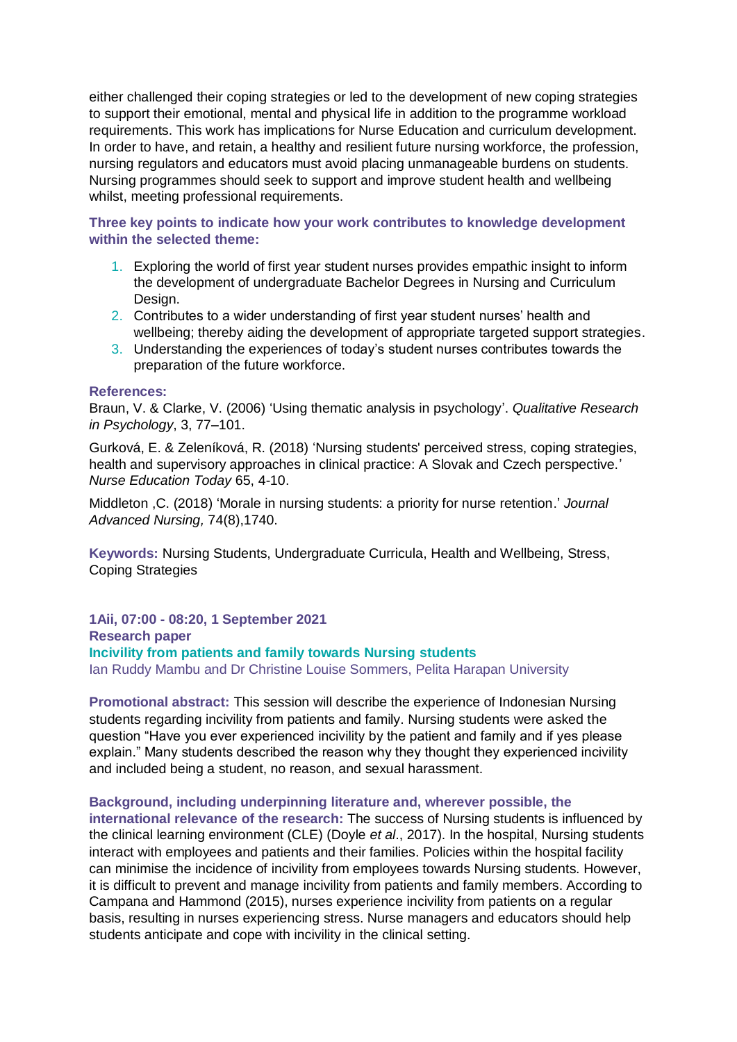either challenged their coping strategies or led to the development of new coping strategies to support their emotional, mental and physical life in addition to the programme workload requirements. This work has implications for Nurse Education and curriculum development. In order to have, and retain, a healthy and resilient future nursing workforce, the profession, nursing regulators and educators must avoid placing unmanageable burdens on students. Nursing programmes should seek to support and improve student health and wellbeing whilst, meeting professional requirements.

**Three key points to indicate how your work contributes to knowledge development within the selected theme:**

- 1. Exploring the world of first year student nurses provides empathic insight to inform the development of undergraduate Bachelor Degrees in Nursing and Curriculum Design.
- 2. Contributes to a wider understanding of first year student nurses' health and wellbeing; thereby aiding the development of appropriate targeted support strategies.
- 3. Understanding the experiences of today's student nurses contributes towards the preparation of the future workforce.

#### **References:**

Braun, V. & Clarke, V. (2006) 'Using thematic analysis in psychology'. *Qualitative Research in Psychology*, 3, 77–101.

Gurková, E. & Zeleníková, R. (2018) 'Nursing students' perceived stress, coping strategies, health and supervisory approaches in clinical practice: A Slovak and Czech perspective.' *Nurse Education Today* 65, 4-10.

Middleton ,C. (2018) 'Morale in nursing students: a priority for nurse retention.' *Journal Advanced Nursing,* 74(8),1740.

**Keywords:** Nursing Students, Undergraduate Curricula, Health and Wellbeing, Stress, Coping Strategies

**1Aii, 07:00 - 08:20, 1 September 2021 Research paper Incivility from patients and family towards Nursing students** Ian Ruddy Mambu and Dr Christine Louise Sommers, Pelita Harapan University

**Promotional abstract:** This session will describe the experience of Indonesian Nursing students regarding incivility from patients and family. Nursing students were asked the question "Have you ever experienced incivility by the patient and family and if yes please explain." Many students described the reason why they thought they experienced incivility and included being a student, no reason, and sexual harassment.

#### **Background, including underpinning literature and, wherever possible, the**

**international relevance of the research:** The success of Nursing students is influenced by the clinical learning environment (CLE) (Doyle *et al*., 2017). In the hospital, Nursing students interact with employees and patients and their families. Policies within the hospital facility can minimise the incidence of incivility from employees towards Nursing students. However, it is difficult to prevent and manage incivility from patients and family members. According to Campana and Hammond (2015), nurses experience incivility from patients on a regular basis, resulting in nurses experiencing stress. Nurse managers and educators should help students anticipate and cope with incivility in the clinical setting.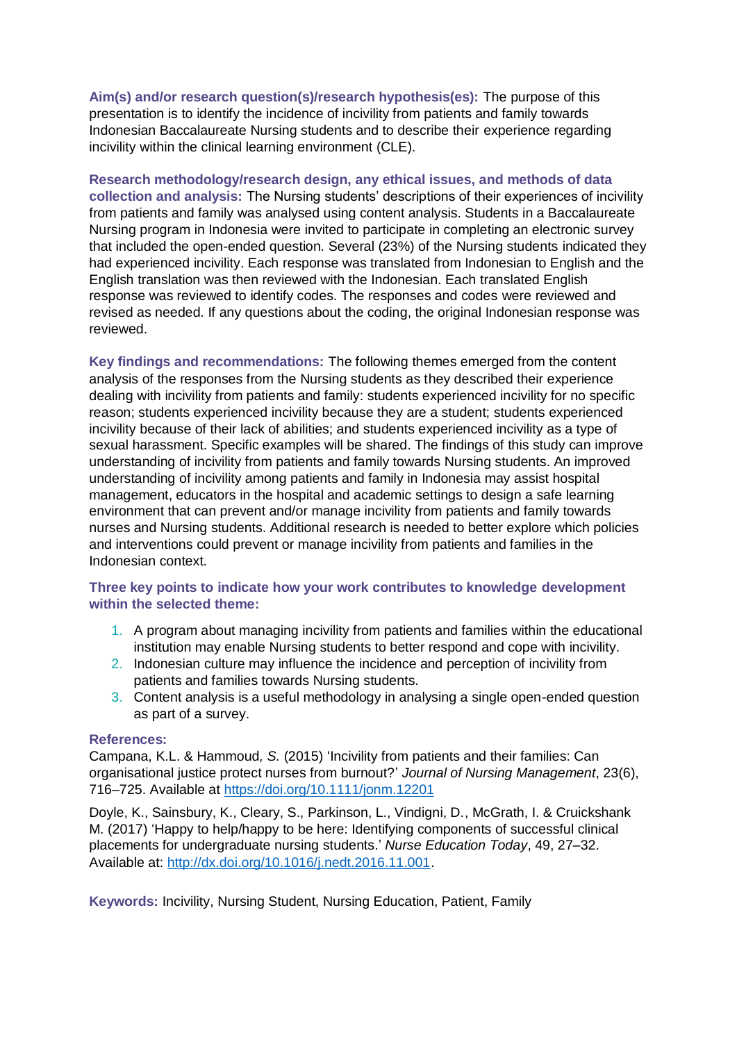**Aim(s) and/or research question(s)/research hypothesis(es):** The purpose of this presentation is to identify the incidence of incivility from patients and family towards Indonesian Baccalaureate Nursing students and to describe their experience regarding incivility within the clinical learning environment (CLE).

**Research methodology/research design, any ethical issues, and methods of data collection and analysis:** The Nursing students' descriptions of their experiences of incivility from patients and family was analysed using content analysis. Students in a Baccalaureate Nursing program in Indonesia were invited to participate in completing an electronic survey that included the open-ended question. Several (23%) of the Nursing students indicated they had experienced incivility. Each response was translated from Indonesian to English and the English translation was then reviewed with the Indonesian. Each translated English response was reviewed to identify codes. The responses and codes were reviewed and revised as needed. If any questions about the coding, the original Indonesian response was reviewed.

**Key findings and recommendations:** The following themes emerged from the content analysis of the responses from the Nursing students as they described their experience dealing with incivility from patients and family: students experienced incivility for no specific reason; students experienced incivility because they are a student; students experienced incivility because of their lack of abilities; and students experienced incivility as a type of sexual harassment. Specific examples will be shared. The findings of this study can improve understanding of incivility from patients and family towards Nursing students. An improved understanding of incivility among patients and family in Indonesia may assist hospital management, educators in the hospital and academic settings to design a safe learning environment that can prevent and/or manage incivility from patients and family towards nurses and Nursing students. Additional research is needed to better explore which policies and interventions could prevent or manage incivility from patients and families in the Indonesian context.

#### **Three key points to indicate how your work contributes to knowledge development within the selected theme:**

- 1. A program about managing incivility from patients and families within the educational institution may enable Nursing students to better respond and cope with incivility.
- 2. Indonesian culture may influence the incidence and perception of incivility from patients and families towards Nursing students.
- 3. Content analysis is a useful methodology in analysing a single open-ended question as part of a survey.

#### **References:**

Campana, K.L. & Hammoud*, S.* (2015) 'Incivility from patients and their families: Can organisational justice protect nurses from burnout?' *Journal of Nursing Management*, 23(6), 716–725. Available at <https://doi.org/10.1111/jonm.12201>

Doyle, K., Sainsbury, K., Cleary, S., Parkinson, L., Vindigni, D., McGrath, I. & Cruickshank M. (2017) 'Happy to help/happy to be here: Identifying components of successful clinical placements for undergraduate nursing students.' *Nurse Education Today*, 49, 27–32. Available at: [http://dx.doi.org/10.1016/j.nedt.2016.11.001.](http://dx.doi.org/10.1016/j.nedt.2016.11.001)

**Keywords:** Incivility, Nursing Student, Nursing Education, Patient, Family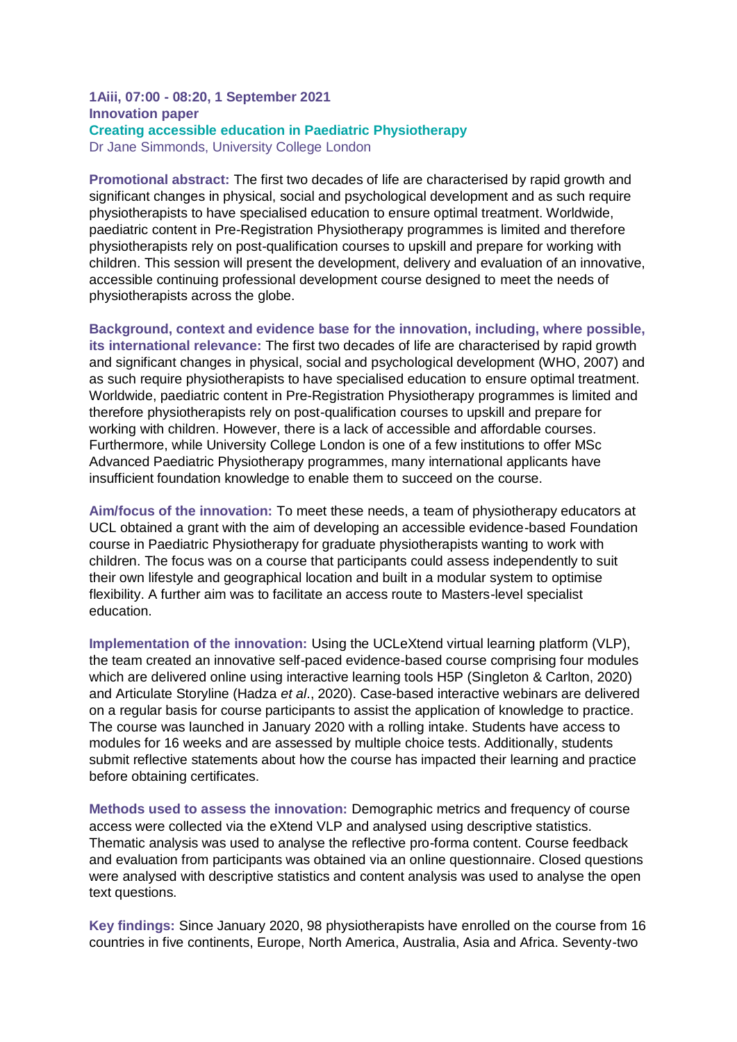#### **1Aiii, 07:00 - 08:20, 1 September 2021 Innovation paper Creating accessible education in Paediatric Physiotherapy** Dr Jane Simmonds, University College London

**Promotional abstract:** The first two decades of life are characterised by rapid growth and significant changes in physical, social and psychological development and as such require physiotherapists to have specialised education to ensure optimal treatment. Worldwide, paediatric content in Pre-Registration Physiotherapy programmes is limited and therefore physiotherapists rely on post-qualification courses to upskill and prepare for working with children. This session will present the development, delivery and evaluation of an innovative, accessible continuing professional development course designed to meet the needs of physiotherapists across the globe.

**Background, context and evidence base for the innovation, including, where possible, its international relevance:** The first two decades of life are characterised by rapid growth and significant changes in physical, social and psychological development (WHO, 2007) and as such require physiotherapists to have specialised education to ensure optimal treatment. Worldwide, paediatric content in Pre-Registration Physiotherapy programmes is limited and therefore physiotherapists rely on post-qualification courses to upskill and prepare for working with children. However, there is a lack of accessible and affordable courses. Furthermore, while University College London is one of a few institutions to offer MSc Advanced Paediatric Physiotherapy programmes, many international applicants have insufficient foundation knowledge to enable them to succeed on the course.

**Aim/focus of the innovation:** To meet these needs, a team of physiotherapy educators at UCL obtained a grant with the aim of developing an accessible evidence-based Foundation course in Paediatric Physiotherapy for graduate physiotherapists wanting to work with children. The focus was on a course that participants could assess independently to suit their own lifestyle and geographical location and built in a modular system to optimise flexibility. A further aim was to facilitate an access route to Masters-level specialist education.

**Implementation of the innovation:** Using the UCLeXtend virtual learning platform (VLP), the team created an innovative self-paced evidence-based course comprising four modules which are delivered online using interactive learning tools H5P (Singleton & Carlton, 2020) and Articulate Storyline (Hadza *et al*., 2020). Case-based interactive webinars are delivered on a regular basis for course participants to assist the application of knowledge to practice. The course was launched in January 2020 with a rolling intake. Students have access to modules for 16 weeks and are assessed by multiple choice tests. Additionally, students submit reflective statements about how the course has impacted their learning and practice before obtaining certificates.

**Methods used to assess the innovation:** Demographic metrics and frequency of course access were collected via the eXtend VLP and analysed using descriptive statistics. Thematic analysis was used to analyse the reflective pro-forma content. Course feedback and evaluation from participants was obtained via an online questionnaire. Closed questions were analysed with descriptive statistics and content analysis was used to analyse the open text questions.

**Key findings:** Since January 2020, 98 physiotherapists have enrolled on the course from 16 countries in five continents, Europe, North America, Australia, Asia and Africa. Seventy-two